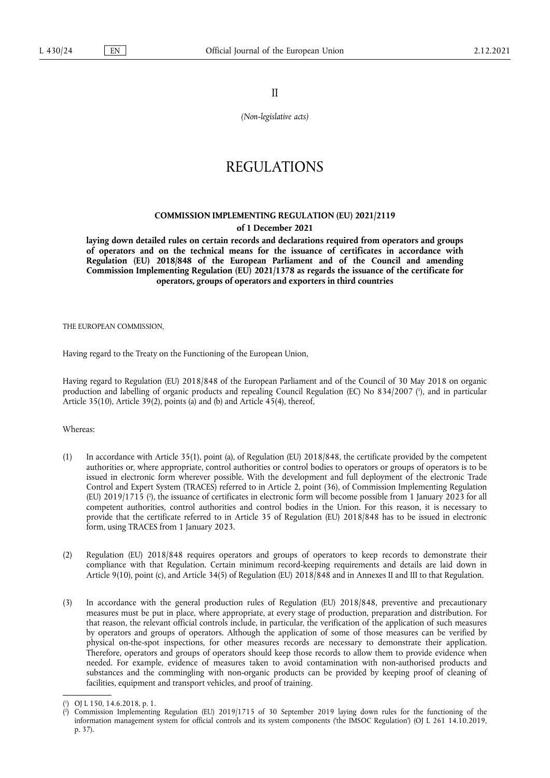II

*(Non-legislative acts)*

# REGULATIONS

# **COMMISSION IMPLEMENTING REGULATION (EU) 2021/2119 of 1 December 2021**

**laying down detailed rules on certain records and declarations required from operators and groups of operators and on the technical means for the issuance of certificates in accordance with Regulation (EU) 2018/848 of the European Parliament and of the Council and amending Commission Implementing Regulation (EU) 2021/1378 as regards the issuance of the certificate for operators, groups of operators and exporters in third countries** 

THE EUROPEAN COMMISSION,

Having regard to the Treaty on the Functioning of the European Union,

<span id="page-0-2"></span>Having regard to Regulation (EU) 2018/848 of the European Parliament and of the Council of 30 May 2018 on organic production and labelling of organic products and repealing Council Regulation (EC) No 834/2007 ( 1 [\),](#page-0-0) and in particular Article 35(10), Article 39(2), points (a) and (b) and Article 45(4), thereof,

Whereas:

- <span id="page-0-3"></span>(1) In accordance with Article 35(1), point (a), of Regulation (EU) 2018/848, the certificate provided by the competent authorities or, where appropriate, control authorities or control bodies to operators or groups of operators is to be issued in electronic form wherever possible. With the development and full deployment of the electronic Trade Control and Expert System (TRACES) referred to in Article 2, point (36), of Commission Implementing Regulation (EU) 2019/1715 [\(](#page-0-1) 2 ), the issuance of certificates in electronic form will become possible from 1 January 2023 for all competent authorities, control authorities and control bodies in the Union. For this reason, it is necessary to provide that the certificate referred to in Article 35 of Regulation (EU) 2018/848 has to be issued in electronic form, using TRACES from 1 January 2023.
- (2) Regulation (EU) 2018/848 requires operators and groups of operators to keep records to demonstrate their compliance with that Regulation. Certain minimum record-keeping requirements and details are laid down in Article 9(10), point (c), and Article 34(5) of Regulation (EU) 2018/848 and in Annexes II and III to that Regulation.
- (3) In accordance with the general production rules of Regulation (EU) 2018/848, preventive and precautionary measures must be put in place, where appropriate, at every stage of production, preparation and distribution. For that reason, the relevant official controls include, in particular, the verification of the application of such measures by operators and groups of operators. Although the application of some of those measures can be verified by physical on-the-spot inspections, for other measures records are necessary to demonstrate their application. Therefore, operators and groups of operators should keep those records to allow them to provide evidence when needed. For example, evidence of measures taken to avoid contamination with non-authorised products and substances and the commingling with non-organic products can be provided by keeping proof of cleaning of facilities, equipment and transport vehicles, and proof of training.

<span id="page-0-0"></span>[<sup>\(</sup>](#page-0-2) 1 ) OJ L 150, 14.6.2018, p. 1.

<span id="page-0-1"></span>[<sup>\(</sup>](#page-0-3) 2 ) Commission Implementing Regulation (EU) 2019/1715 of 30 September 2019 laying down rules for the functioning of the information management system for official controls and its system components ('the IMSOC Regulation') (OJ L 261 14.10.2019, p. 37).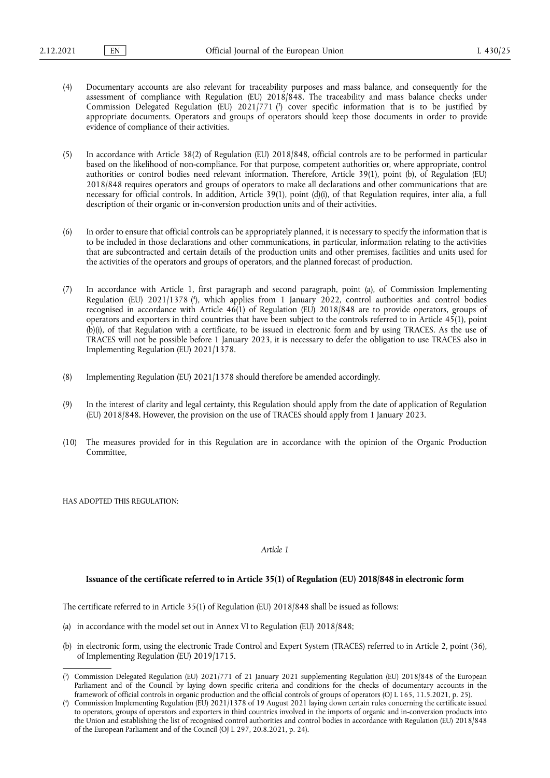- <span id="page-1-2"></span>(4) Documentary accounts are also relevant for traceability purposes and mass balance, and consequently for the assessment of compliance with Regulation (EU) 2018/848. The traceability and mass balance checks under Commission Delegated Regulation (EU) 2021/771 [\(](#page-1-0) 3 ) cover specific information that is to be justified by appropriate documents. Operators and groups of operators should keep those documents in order to provide evidence of compliance of their activities.
- (5) In accordance with Article 38(2) of Regulation (EU) 2018/848, official controls are to be performed in particular based on the likelihood of non-compliance. For that purpose, competent authorities or, where appropriate, control authorities or control bodies need relevant information. Therefore, Article 39(1), point (b), of Regulation (EU) 2018/848 requires operators and groups of operators to make all declarations and other communications that are necessary for official controls. In addition, Article 39(1), point (d)(i), of that Regulation requires, inter alia, a full description of their organic or in-conversion production units and of their activities.
- (6) In order to ensure that official controls can be appropriately planned, it is necessary to specify the information that is to be included in those declarations and other communications, in particular, information relating to the activities that are subcontracted and certain details of the production units and other premises, facilities and units used for the activities of the operators and groups of operators, and the planned forecast of production.
- <span id="page-1-3"></span>(7) In accordance with Article 1, first paragraph and second paragraph, point (a), of Commission Implementing Regulation (EU) 2021/1378 [\(](#page-1-1) 4 ), which applies from 1 January 2022, control authorities and control bodies recognised in accordance with Article 46(1) of Regulation (EU) 2018/848 are to provide operators, groups of operators and exporters in third countries that have been subject to the controls referred to in Article 45(1), point (b)(i), of that Regulation with a certificate, to be issued in electronic form and by using TRACES. As the use of TRACES will not be possible before 1 January 2023, it is necessary to defer the obligation to use TRACES also in Implementing Regulation (EU) 2021/1378.
- (8) Implementing Regulation (EU) 2021/1378 should therefore be amended accordingly.
- (9) In the interest of clarity and legal certainty, this Regulation should apply from the date of application of Regulation (EU) 2018/848. However, the provision on the use of TRACES should apply from 1 January 2023.
- (10) The measures provided for in this Regulation are in accordance with the opinion of the Organic Production Committee,

HAS ADOPTED THIS REGULATION:

#### *Article 1*

## **Issuance of the certificate referred to in Article 35(1) of Regulation (EU) 2018/848 in electronic form**

The certificate referred to in Article 35(1) of Regulation (EU) 2018/848 shall be issued as follows:

- (a) in accordance with the model set out in Annex VI to Regulation (EU) 2018/848;
- (b) in electronic form, using the electronic Trade Control and Expert System (TRACES) referred to in Article 2, point (36), of Implementing Regulation (EU) 2019/1715.

<span id="page-1-0"></span>[<sup>\(</sup>](#page-1-2) 3 ) Commission Delegated Regulation (EU) 2021/771 of 21 January 2021 supplementing Regulation (EU) 2018/848 of the European Parliament and of the Council by laying down specific criteria and conditions for the checks of documentary accounts in the framework of official controls in organic production and the official controls of groups of operators (OJ L 165, 11.5.2021, p. 25).

<span id="page-1-1"></span>[<sup>\(</sup>](#page-1-3) 4 ) Commission Implementing Regulation (EU) 2021/1378 of 19 August 2021 laying down certain rules concerning the certificate issued to operators, groups of operators and exporters in third countries involved in the imports of organic and in-conversion products into the Union and establishing the list of recognised control authorities and control bodies in accordance with Regulation (EU) 2018/848 of the European Parliament and of the Council (OJ L 297, 20.8.2021, p. 24).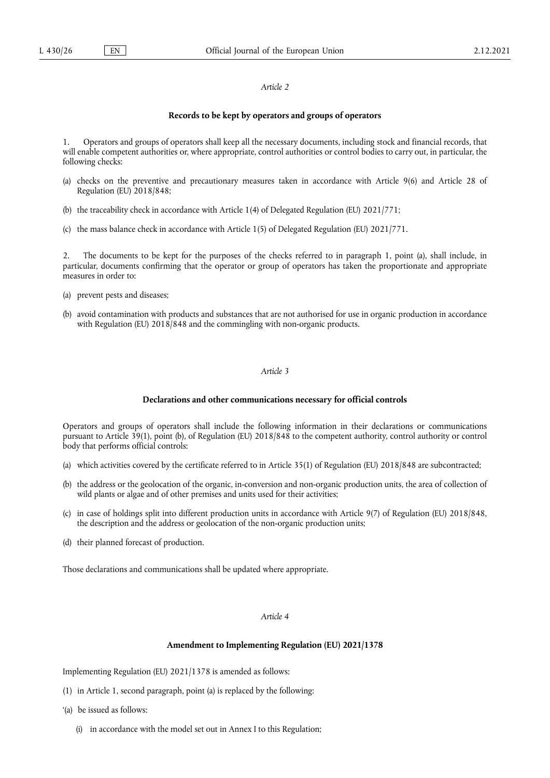## *Article 2*

## **Records to be kept by operators and groups of operators**

1. Operators and groups of operators shall keep all the necessary documents, including stock and financial records, that will enable competent authorities or, where appropriate, control authorities or control bodies to carry out, in particular, the following checks:

- (a) checks on the preventive and precautionary measures taken in accordance with Article 9(6) and Article 28 of Regulation (EU) 2018/848;
- (b) the traceability check in accordance with Article 1(4) of Delegated Regulation (EU) 2021/771;
- (c) the mass balance check in accordance with Article 1(5) of Delegated Regulation (EU) 2021/771.

2. The documents to be kept for the purposes of the checks referred to in paragraph 1, point (a), shall include, in particular, documents confirming that the operator or group of operators has taken the proportionate and appropriate measures in order to:

- (a) prevent pests and diseases;
- (b) avoid contamination with products and substances that are not authorised for use in organic production in accordance with Regulation (EU) 2018/848 and the commingling with non-organic products.

## *Article 3*

#### **Declarations and other communications necessary for official controls**

Operators and groups of operators shall include the following information in their declarations or communications pursuant to Article 39(1), point (b), of Regulation (EU) 2018/848 to the competent authority, control authority or control body that performs official controls:

- (a) which activities covered by the certificate referred to in Article 35(1) of Regulation (EU) 2018/848 are subcontracted;
- (b) the address or the geolocation of the organic, in-conversion and non-organic production units, the area of collection of wild plants or algae and of other premises and units used for their activities;
- (c) in case of holdings split into different production units in accordance with Article 9(7) of Regulation (EU) 2018/848, the description and the address or geolocation of the non-organic production units;
- (d) their planned forecast of production.

Those declarations and communications shall be updated where appropriate.

#### *Article 4*

## **Amendment to Implementing Regulation (EU) 2021/1378**

Implementing Regulation (EU) 2021/1378 is amended as follows:

- (1) in Article 1, second paragraph, point (a) is replaced by the following:
- '(a) be issued as follows:
	- (i) in accordance with the model set out in Annex I to this Regulation;